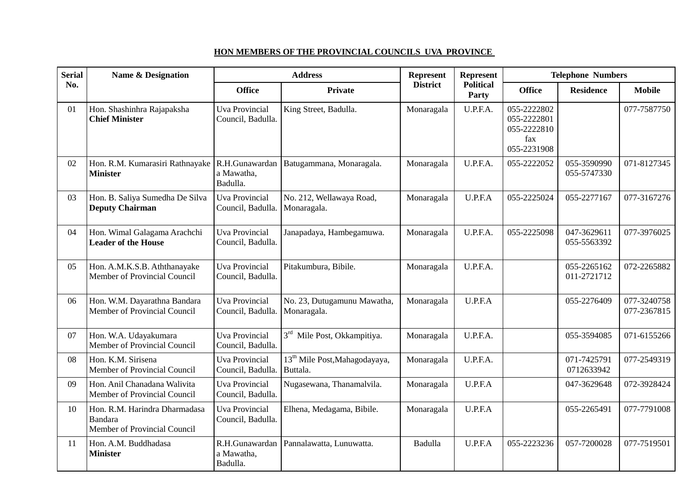| <b>Serial</b><br>No. | <b>Name &amp; Designation</b>                                                   | <b>Address</b>                             |                                                       | <b>Represent</b> | <b>Represent</b>          | <b>Telephone Numbers</b>                                        |                            |                            |
|----------------------|---------------------------------------------------------------------------------|--------------------------------------------|-------------------------------------------------------|------------------|---------------------------|-----------------------------------------------------------------|----------------------------|----------------------------|
|                      |                                                                                 | <b>Office</b>                              | Private                                               | <b>District</b>  | <b>Political</b><br>Party | <b>Office</b>                                                   | <b>Residence</b>           | <b>Mobile</b>              |
| 01                   | Hon. Shashinhra Rajapaksha<br><b>Chief Minister</b>                             | <b>Uva Provincial</b><br>Council, Badulla. | King Street, Badulla.                                 | Monaragala       | U.P.F.A.                  | 055-2222802<br>055-2222801<br>055-2222810<br>fax<br>055-2231908 |                            | 077-7587750                |
| 02                   | Hon. R.M. Kumarasiri Rathnayake R.H.Gunawardan<br><b>Minister</b>               | a Mawatha,<br>Badulla.                     | Batugammana, Monaragala.                              | Monaragala       | U.P.F.A.                  | 055-2222052                                                     | 055-3590990<br>055-5747330 | 071-8127345                |
| 03                   | Hon. B. Saliya Sumedha De Silva<br><b>Deputy Chairman</b>                       | <b>Uva Provincial</b><br>Council, Badulla  | No. 212, Wellawaya Road,<br>Monaragala.               | Monaragala       | U.P.F.A                   | 055-2225024                                                     | 055-2277167                | 077-3167276                |
| 04                   | Hon. Wimal Galagama Arachchi<br><b>Leader of the House</b>                      | <b>Uva Provincial</b><br>Council, Badulla. | Janapadaya, Hambegamuwa.                              | Monaragala       | U.P.F.A.                  | 055-2225098                                                     | 047-3629611<br>055-5563392 | 077-3976025                |
| 05                   | Hon. A.M.K.S.B. Aththanayake<br>Member of Provincial Council                    | <b>Uva Provincial</b><br>Council, Badulla. | Pitakumbura, Bibile.                                  | Monaragala       | U.P.F.A.                  |                                                                 | 055-2265162<br>011-2721712 | 072-2265882                |
| 06                   | Hon. W.M. Dayarathna Bandara<br>Member of Provincial Council                    | <b>Uva Provincial</b><br>Council, Badulla. | No. 23, Dutugamunu Mawatha,<br>Monaragala.            | Monaragala       | U.P.F.A                   |                                                                 | 055-2276409                | 077-3240758<br>077-2367815 |
| 07                   | Hon. W.A. Udayakumara<br>Member of Provincial Council                           | <b>Uva Provincial</b><br>Council, Badulla. | 3 <sup>rd</sup> Mile Post, Okkampitiya.               | Monaragala       | U.P.F.A.                  |                                                                 | 055-3594085                | 071-6155266                |
| 08                   | Hon. K.M. Sirisena<br>Member of Provincial Council                              | <b>Uva Provincial</b><br>Council, Badulla. | 13 <sup>th</sup> Mile Post, Mahagodayaya,<br>Buttala. | Monaragala       | U.P.F.A.                  |                                                                 | 071-7425791<br>0712633942  | 077-2549319                |
| 09                   | Hon. Anil Chanadana Walivita<br>Member of Provincial Council                    | <b>Uva Provincial</b><br>Council, Badulla. | Nugasewana, Thanamalvila.                             | Monaragala       | U.P.F.A                   |                                                                 | 047-3629648                | 072-3928424                |
| 10                   | Hon. R.M. Harindra Dharmadasa<br><b>Bandara</b><br>Member of Provincial Council | <b>Uva Provincial</b><br>Council, Badulla. | Elhena, Medagama, Bibile.                             | Monaragala       | U.P.F.A                   |                                                                 | 055-2265491                | 077-7791008                |
| 11                   | Hon. A.M. Buddhadasa<br><b>Minister</b>                                         | R.H.Gunawardan<br>a Mawatha,<br>Badulla.   | Pannalawatta, Lunuwatta.                              | Badulla          | U.P.F.A                   | 055-2223236                                                     | 057-7200028                | 077-7519501                |

## **HON MEMBERS OF THE PROVINCIAL COUNCILS UVA PROVINCE**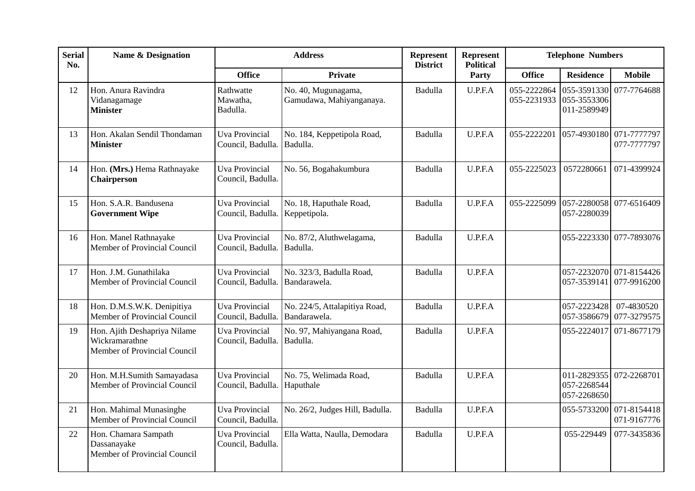| <b>Serial</b><br>No. | <b>Name &amp; Designation</b>                                                  | <b>Address</b>                             |                                                 | Represent<br><b>District</b> | <b>Represent</b><br><b>Political</b> | <b>Telephone Numbers</b>   |                                           |                                        |
|----------------------|--------------------------------------------------------------------------------|--------------------------------------------|-------------------------------------------------|------------------------------|--------------------------------------|----------------------------|-------------------------------------------|----------------------------------------|
|                      |                                                                                | <b>Office</b>                              | <b>Private</b>                                  |                              | Party                                | <b>Office</b>              | <b>Residence</b>                          | <b>Mobile</b>                          |
| 12                   | Hon. Anura Ravindra<br>Vidanagamage<br><b>Minister</b>                         | Rathwatte<br>Mawatha,<br>Badulla.          | No. 40, Mugunagama,<br>Gamudawa, Mahiyanganaya. | Badulla                      | U.P.F.A                              | 055-2222864<br>055-2231933 | 055-3591330<br>055-3553306<br>011-2589949 | 077-7764688                            |
| 13                   | Hon. Akalan Sendil Thondaman<br><b>Minister</b>                                | <b>Uva Provincial</b><br>Council, Badulla. | No. 184, Keppetipola Road,<br>Badulla.          | Badulla                      | U.P.F.A                              | 055-2222201                | 057-4930180                               | 071-7777797<br>077-7777797             |
| 14                   | Hon. (Mrs.) Hema Rathnayake<br>Chairperson                                     | Uva Provincial<br>Council, Badulla.        | No. 56, Bogahakumbura                           | Badulla                      | U.P.F.A                              | 055-2225023                | 0572280661                                | 071-4399924                            |
| 15                   | Hon. S.A.R. Bandusena<br><b>Government Wipe</b>                                | <b>Uva Provincial</b><br>Council, Badulla. | No. 18, Haputhale Road,<br>Keppetipola.         | Badulla                      | U.P.F.A                              | 055-2225099                | 057-2280039                               | 057-2280058 077-6516409                |
| 16                   | Hon. Manel Rathnayake<br>Member of Provincial Council                          | <b>Uva Provincial</b><br>Council, Badulla. | No. 87/2, Aluthwelagama,<br>Badulla.            | Badulla                      | U.P.F.A                              |                            |                                           | 055-2223330 077-7893076                |
| 17                   | Hon. J.M. Gunathilaka<br>Member of Provincial Council                          | <b>Uva Provincial</b><br>Council, Badulla. | No. 323/3, Badulla Road,<br>Bandarawela.        | Badulla                      | U.P.F.A                              |                            | 057-3539141                               | 057-2232070 071-8154426<br>077-9916200 |
| 18                   | Hon. D.M.S.W.K. Denipitiya<br>Member of Provincial Council                     | <b>Uva Provincial</b><br>Council, Badulla. | No. 224/5, Attalapitiya Road,<br>Bandarawela.   | Badulla                      | U.P.F.A                              |                            | 057-2223428<br>057-3586679                | 07-4830520<br>077-3279575              |
| 19                   | Hon. Ajith Deshapriya Nilame<br>Wickramarathne<br>Member of Provincial Council | <b>Uva Provincial</b><br>Council, Badulla. | No. 97, Mahiyangana Road,<br>Badulla.           | Badulla                      | U.P.F.A                              |                            |                                           | 055-2224017 071-8677179                |
| 20                   | Hon. M.H.Sumith Samayadasa<br>Member of Provincial Council                     | <b>Uva Provincial</b><br>Council, Badulla. | No. 75, Welimada Road,<br>Haputhale             | Badulla                      | U.P.F.A                              |                            | 057-2268544<br>057-2268650                | 011-2829355 072-2268701                |
| 21                   | Hon. Mahimal Munasinghe<br>Member of Provincial Council                        | <b>Uva Provincial</b><br>Council, Badulla. | No. 26/2, Judges Hill, Badulla.                 | Badulla                      | U.P.F.A                              |                            | 055-5733200                               | 071-8154418<br>071-9167776             |
| 22                   | Hon. Chamara Sampath<br>Dassanayake<br>Member of Provincial Council            | <b>Uva Provincial</b><br>Council, Badulla. | Ella Watta, Naulla, Demodara                    | Badulla                      | U.P.F.A                              |                            | 055-229449                                | 077-3435836                            |